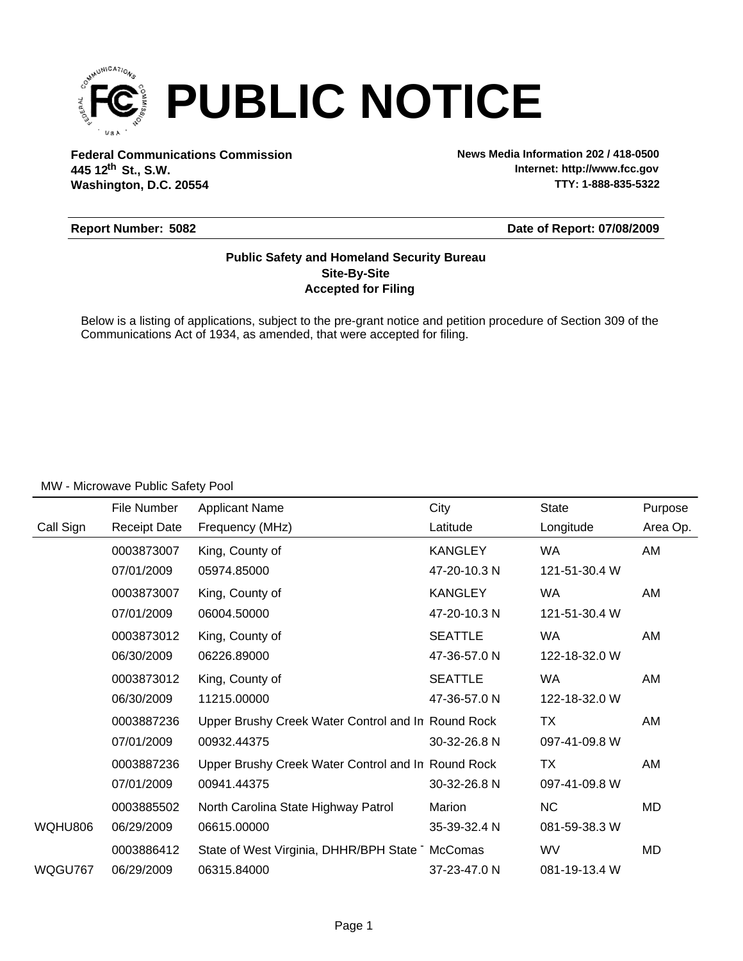

**Federal Communications Commission News Media Information 202 / 418-0500 Washington, D.C. 20554 th 445 12 St., S.W.**

**Internet: http://www.fcc.gov TTY: 1-888-835-5322**

## **Report Number: 5082**

**Date of Report: 07/08/2009**

## **Accepted for Filing Site-By-Site Public Safety and Homeland Security Bureau**

Below is a listing of applications, subject to the pre-grant notice and petition procedure of Section 309 of the Communications Act of 1934, as amended, that were accepted for filing.

### MW - Microwave Public Safety Pool

|           | File Number         | <b>Applicant Name</b>                              | City           | <b>State</b>  | Purpose  |
|-----------|---------------------|----------------------------------------------------|----------------|---------------|----------|
| Call Sign | <b>Receipt Date</b> | Frequency (MHz)                                    | Latitude       | Longitude     | Area Op. |
|           | 0003873007          | King, County of                                    | <b>KANGLEY</b> | <b>WA</b>     | AM       |
|           | 07/01/2009          | 05974.85000                                        | 47-20-10.3 N   | 121-51-30.4 W |          |
|           | 0003873007          | King, County of                                    | <b>KANGLEY</b> | <b>WA</b>     | AM       |
|           | 07/01/2009          | 06004.50000                                        | 47-20-10.3 N   | 121-51-30.4 W |          |
|           | 0003873012          | King, County of                                    | <b>SEATTLE</b> | <b>WA</b>     | AM       |
|           | 06/30/2009          | 06226.89000                                        | 47-36-57.0 N   | 122-18-32.0 W |          |
|           | 0003873012          | King, County of                                    | <b>SEATTLE</b> | <b>WA</b>     | AM       |
|           | 06/30/2009          | 11215.00000                                        | 47-36-57.0 N   | 122-18-32.0 W |          |
|           | 0003887236          | Upper Brushy Creek Water Control and In Round Rock |                | ТX            | AM       |
|           | 07/01/2009          | 00932.44375                                        | 30-32-26.8 N   | 097-41-09.8 W |          |
|           | 0003887236          | Upper Brushy Creek Water Control and In Round Rock |                | ТX            | AM       |
|           | 07/01/2009          | 00941.44375                                        | 30-32-26.8 N   | 097-41-09.8 W |          |
|           | 0003885502          | North Carolina State Highway Patrol                | Marion         | <b>NC</b>     | MD       |
| WQHU806   | 06/29/2009          | 06615.00000                                        | 35-39-32.4 N   | 081-59-38.3 W |          |
|           | 0003886412          | State of West Virginia, DHHR/BPH State McComas     |                | WV            | MD       |
| WQGU767   | 06/29/2009          | 06315.84000                                        | 37-23-47.0 N   | 081-19-13.4 W |          |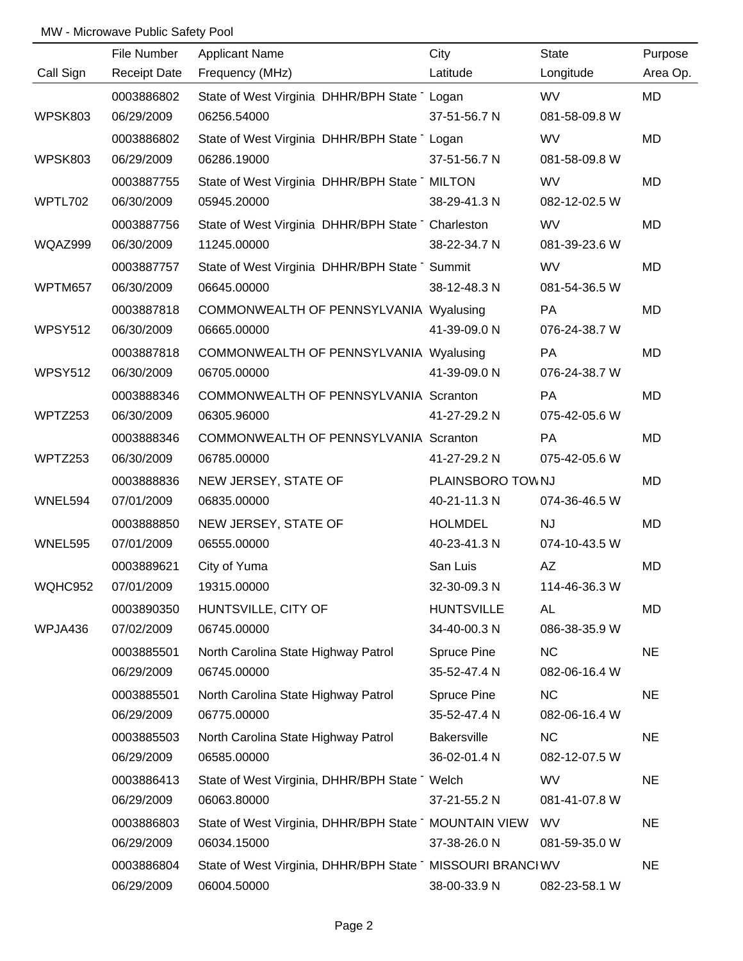## MW - Microwave Public Safety Pool

|                | File Number         | <b>Applicant Name</b>                                     | City               | <b>State</b>  | Purpose   |
|----------------|---------------------|-----------------------------------------------------------|--------------------|---------------|-----------|
| Call Sign      | <b>Receipt Date</b> | Frequency (MHz)                                           | Latitude           | Longitude     | Area Op.  |
|                | 0003886802          | State of West Virginia DHHR/BPH State Logan               |                    | <b>WV</b>     | <b>MD</b> |
| <b>WPSK803</b> | 06/29/2009          | 06256.54000                                               | 37-51-56.7 N       | 081-58-09.8 W |           |
|                | 0003886802          | State of West Virginia DHHR/BPH State Logan               |                    | <b>WV</b>     | MD        |
| <b>WPSK803</b> | 06/29/2009          | 06286.19000                                               | 37-51-56.7 N       | 081-58-09.8 W |           |
|                | 0003887755          | State of West Virginia DHHR/BPH State MILTON              |                    | <b>WV</b>     | MD        |
| WPTL702        | 06/30/2009          | 05945.20000                                               | 38-29-41.3 N       | 082-12-02.5 W |           |
|                | 0003887756          | State of West Virginia DHHR/BPH State Charleston          |                    | <b>WV</b>     | <b>MD</b> |
| WQAZ999        | 06/30/2009          | 11245.00000                                               | 38-22-34.7 N       | 081-39-23.6 W |           |
|                | 0003887757          | State of West Virginia DHHR/BPH State Summit              |                    | <b>WV</b>     | <b>MD</b> |
| WPTM657        | 06/30/2009          | 06645.00000                                               | 38-12-48.3 N       | 081-54-36.5 W |           |
|                | 0003887818          | COMMONWEALTH OF PENNSYLVANIA Wyalusing                    |                    | <b>PA</b>     | MD        |
| <b>WPSY512</b> | 06/30/2009          | 06665.00000                                               | 41-39-09.0 N       | 076-24-38.7 W |           |
|                | 0003887818          | COMMONWEALTH OF PENNSYLVANIA Wyalusing                    |                    | PA            | <b>MD</b> |
| <b>WPSY512</b> | 06/30/2009          | 06705.00000                                               | 41-39-09.0 N       | 076-24-38.7 W |           |
|                | 0003888346          | COMMONWEALTH OF PENNSYLVANIA Scranton                     |                    | PA            | <b>MD</b> |
| WPTZ253        | 06/30/2009          | 06305.96000                                               | 41-27-29.2 N       | 075-42-05.6 W |           |
|                | 0003888346          | COMMONWEALTH OF PENNSYLVANIA Scranton                     |                    | <b>PA</b>     | <b>MD</b> |
| WPTZ253        | 06/30/2009          | 06785.00000                                               | 41-27-29.2 N       | 075-42-05.6 W |           |
|                | 0003888836          | NEW JERSEY, STATE OF                                      | PLAINSBORO TOWNJ   |               | <b>MD</b> |
| WNEL594        | 07/01/2009          | 06835.00000                                               | 40-21-11.3 N       | 074-36-46.5 W |           |
|                | 0003888850          | NEW JERSEY, STATE OF                                      | <b>HOLMDEL</b>     | NJ            | <b>MD</b> |
| WNEL595        | 07/01/2009          | 06555.00000                                               | 40-23-41.3 N       | 074-10-43.5 W |           |
|                | 0003889621          | City of Yuma                                              | San Luis           | AZ            | <b>MD</b> |
| WQHC952        | 07/01/2009          | 19315.00000                                               | 32-30-09.3 N       | 114-46-36.3 W |           |
|                | 0003890350          | HUNTSVILLE, CITY OF                                       | <b>HUNTSVILLE</b>  | AL            | MD        |
| WPJA436        | 07/02/2009          | 06745.00000                                               | 34-40-00.3 N       | 086-38-35.9 W |           |
|                | 0003885501          | North Carolina State Highway Patrol                       | Spruce Pine        | <b>NC</b>     | <b>NE</b> |
|                | 06/29/2009          | 06745.00000                                               | 35-52-47.4 N       | 082-06-16.4 W |           |
|                | 0003885501          | North Carolina State Highway Patrol                       | Spruce Pine        | <b>NC</b>     | <b>NE</b> |
|                | 06/29/2009          | 06775.00000                                               | 35-52-47.4 N       | 082-06-16.4 W |           |
|                | 0003885503          | North Carolina State Highway Patrol                       | <b>Bakersville</b> | <b>NC</b>     | <b>NE</b> |
|                | 06/29/2009          | 06585.00000                                               | 36-02-01.4 N       | 082-12-07.5 W |           |
|                | 0003886413          | State of West Virginia, DHHR/BPH State Welch              |                    | <b>WV</b>     | <b>NE</b> |
|                | 06/29/2009          | 06063.80000                                               | 37-21-55.2 N       | 081-41-07.8 W |           |
|                | 0003886803          | State of West Virginia, DHHR/BPH State MOUNTAIN VIEW      |                    | <b>WV</b>     | <b>NE</b> |
|                | 06/29/2009          | 06034.15000                                               | 37-38-26.0 N       | 081-59-35.0 W |           |
|                | 0003886804          | State of West Virginia, DHHR/BPH State MISSOURI BRANCI WV |                    |               | <b>NE</b> |
|                | 06/29/2009          | 06004.50000                                               | 38-00-33.9 N       | 082-23-58.1 W |           |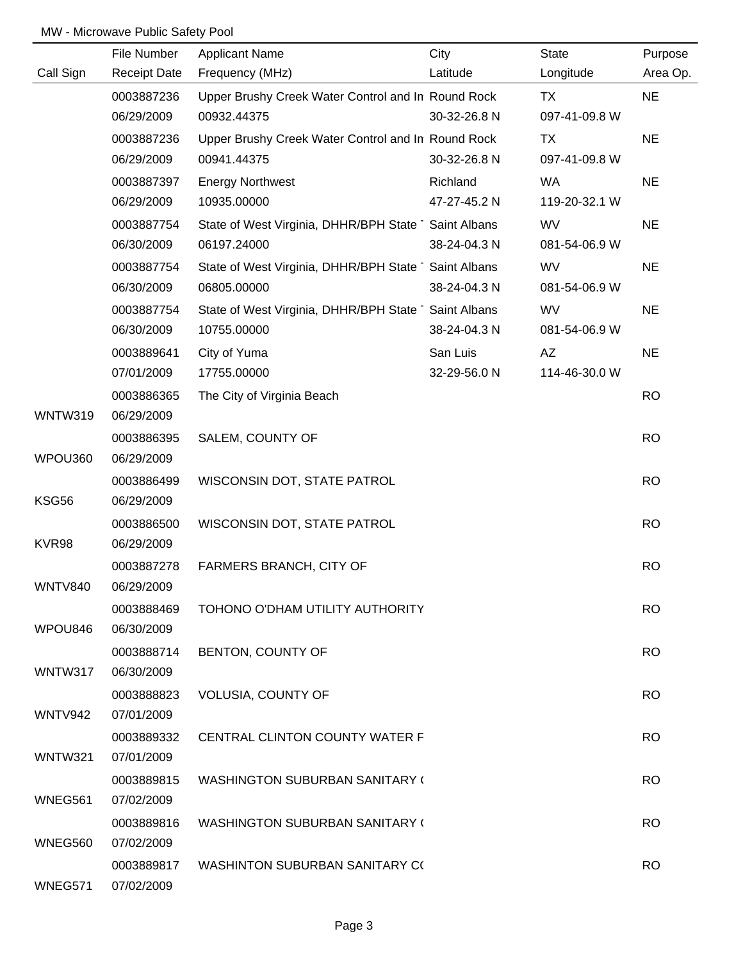# MW - Microwave Public Safety Pool

|                | File Number         | Applicant Name                                      | City         | State         | Purpose   |
|----------------|---------------------|-----------------------------------------------------|--------------|---------------|-----------|
| Call Sign      | <b>Receipt Date</b> | Frequency (MHz)                                     | Latitude     | Longitude     | Area Op.  |
|                | 0003887236          | Upper Brushy Creek Water Control and In Round Rock  |              | TX            | <b>NE</b> |
|                | 06/29/2009          | 00932.44375                                         | 30-32-26.8 N | 097-41-09.8 W |           |
|                | 0003887236          | Upper Brushy Creek Water Control and In Round Rock  |              | TX            | <b>NE</b> |
|                | 06/29/2009          | 00941.44375                                         | 30-32-26.8 N | 097-41-09.8 W |           |
|                | 0003887397          | <b>Energy Northwest</b>                             | Richland     | WA            | <b>NE</b> |
|                | 06/29/2009          | 10935.00000                                         | 47-27-45.2 N | 119-20-32.1 W |           |
|                | 0003887754          | State of West Virginia, DHHR/BPH State Saint Albans |              | WV            | <b>NE</b> |
|                | 06/30/2009          | 06197.24000                                         | 38-24-04.3 N | 081-54-06.9 W |           |
|                | 0003887754          | State of West Virginia, DHHR/BPH State Saint Albans |              | WV            | <b>NE</b> |
|                | 06/30/2009          | 06805.00000                                         | 38-24-04.3 N | 081-54-06.9 W |           |
|                | 0003887754          | State of West Virginia, DHHR/BPH State Saint Albans |              | <b>WV</b>     | <b>NE</b> |
|                | 06/30/2009          | 10755.00000                                         | 38-24-04.3 N | 081-54-06.9 W |           |
|                | 0003889641          | City of Yuma                                        | San Luis     | AZ            | <b>NE</b> |
|                | 07/01/2009          | 17755.00000                                         | 32-29-56.0 N | 114-46-30.0 W |           |
|                | 0003886365          | The City of Virginia Beach                          |              |               | <b>RO</b> |
| WNTW319        | 06/29/2009          |                                                     |              |               |           |
|                | 0003886395          | SALEM, COUNTY OF                                    |              |               | <b>RO</b> |
| WPOU360        | 06/29/2009          |                                                     |              |               |           |
|                | 0003886499          | WISCONSIN DOT, STATE PATROL                         |              |               | <b>RO</b> |
| KSG56          | 06/29/2009          |                                                     |              |               |           |
|                | 0003886500          | WISCONSIN DOT, STATE PATROL                         |              |               | <b>RO</b> |
| KVR98          | 06/29/2009          |                                                     |              |               |           |
|                | 0003887278          | FARMERS BRANCH, CITY OF                             |              |               | <b>RO</b> |
| <b>WNTV840</b> | 06/29/2009          |                                                     |              |               |           |
|                | 0003888469          | TOHONO O'DHAM UTILITY AUTHORITY                     |              |               | <b>RO</b> |
| WPOU846        | 06/30/2009          |                                                     |              |               |           |
|                | 0003888714          | BENTON, COUNTY OF                                   |              |               | <b>RO</b> |
| WNTW317        | 06/30/2009          |                                                     |              |               |           |
|                | 0003888823          | <b>VOLUSIA, COUNTY OF</b>                           |              |               | <b>RO</b> |
| WNTV942        | 07/01/2009          |                                                     |              |               |           |
|                | 0003889332          | <b>CENTRAL CLINTON COUNTY WATER F</b>               |              |               | <b>RO</b> |
| <b>WNTW321</b> | 07/01/2009          |                                                     |              |               |           |
|                | 0003889815          | <b>WASHINGTON SUBURBAN SANITARY (</b>               |              |               | <b>RO</b> |
| WNEG561        | 07/02/2009          |                                                     |              |               |           |
|                | 0003889816          | <b>WASHINGTON SUBURBAN SANITARY (</b>               |              |               | <b>RO</b> |
| WNEG560        | 07/02/2009          |                                                     |              |               |           |
|                | 0003889817          | <b>WASHINTON SUBURBAN SANITARY CO</b>               |              |               | <b>RO</b> |
| WNEG571        | 07/02/2009          |                                                     |              |               |           |